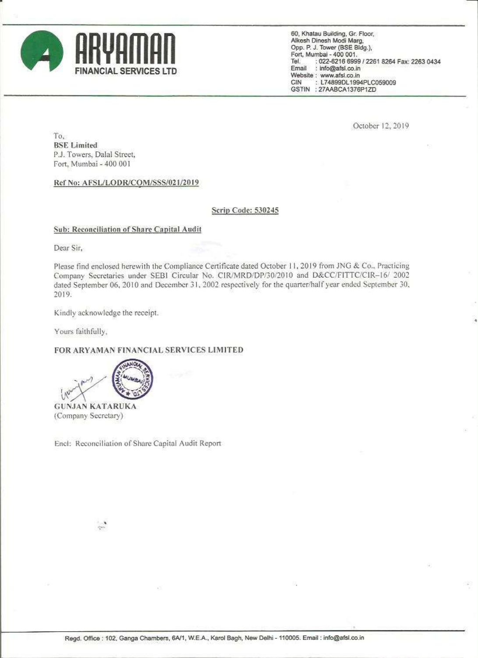

60, Khatau Building, Gr. Floor, Alkesh Dinesh Modi Marg, Opp. P. J. Tower (BSE Bldg.), Fort, Mumbai - 400 001. Tel. : 022-6216 6999 / 2261 8264 Fax: 2263 0434 : info@afsl.co.in Email Website : www.afsi.co.in : L74899DL1994PLC059009 CIN GSTIN : 27AABCA1376P1ZD

October 12, 2019

To. **BSE** Limited P.J. Towers, Dalal Street, Fort, Mumbai - 400 001

Ref No: AFSL/LODR/COM/SSS/021/2019

## Scrip Code: 530245

## **Sub: Reconciliation of Share Capital Audit**

Dear Sir.

Please find enclosed herewith the Compliance Certificate dated October 11, 2019 from JNG & Co., Practicing Company Secretaries under SEBI Circular No. CIR/MRD/DP/30/2010 and D&CC/FITTC/CIR-16/ 2002 dated September 06, 2010 and December 31, 2002 respectively for the quarter/half year ended September 30, 2019.

Kindly acknowledge the receipt.

Yours faithfully,

## FOR ARYAMAN FINANCIAL SERVICES LIMITED



(Company Secretary)

Encl: Reconciliation of Share Capital Audit Report

 $\sim$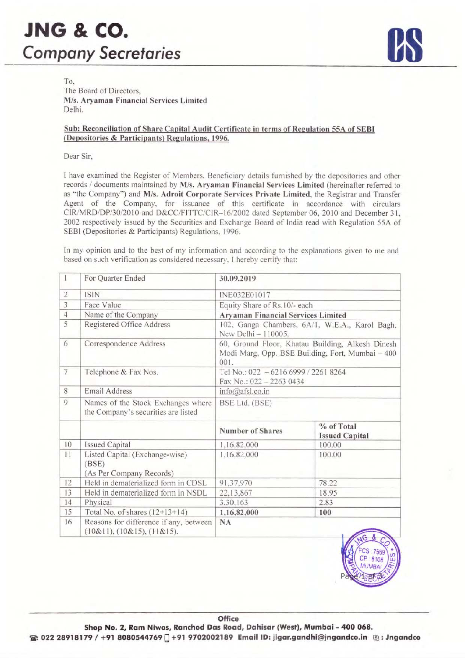

To. The Board of Directors. M/s. Aryaman Financial Services Limited Delhi.

## Sub: Reconciliation of Share Capital Audit Certificate in terms of Regulation 55A of SEBI (Depositories & Participants) Regulations, 1996.

Dear Sir,

<sup>I</sup> have examined the Register of Members. Beneficiary details furnished by the depositories and other records /' documents maintained by M/s. Aryaman Financial Services Limited (hereinafter referred to as "the Company") and M/s. Adroit Corporate Services Private Limited, the Registrar and Transfer Agent of the Company, for issuance of this certificate in accordance with circulars CIR/MRD/DP/30/2010 and D&CC/FITTC/CIR-16/2002 dated September 06, 2010 and December 31, <sup>2002</sup> respectively issued by the Securities and Exchange Board of India read with Regulation 55A of SEBI (Depositories & Participants) Regulations. 1996.

In my opinion and to the best of my information and according to the explanations given to me and based on such verification as considered necessary. <sup>1</sup> hereby certify that:

| 1              | For Quarter Ended                                                         | 30.09.2019                                                                                                   |                                     |  |  |  |
|----------------|---------------------------------------------------------------------------|--------------------------------------------------------------------------------------------------------------|-------------------------------------|--|--|--|
| $\sqrt{2}$     | <b>ISIN</b>                                                               | INE032E01017                                                                                                 |                                     |  |  |  |
| 3              | Face Value                                                                | Equity Share of Rs.10/- each                                                                                 |                                     |  |  |  |
| $\overline{4}$ | Name of the Company                                                       | <b>Aryaman Financial Services Limited</b>                                                                    |                                     |  |  |  |
| 5              | Registered Office Address                                                 | 102, Ganga Chambers, 6A/1, W.E.A., Karol Bagh,<br>New Delhi - 110005.                                        |                                     |  |  |  |
| 6              | Correspondence Address                                                    | 60, Ground Floor, Khatau Building, Alkesh Dinesh<br>Modi Marg, Opp. BSE Building, Fort, Mumbai - 400<br>001. |                                     |  |  |  |
| $\overline{7}$ | Telephone & Fax Nos.                                                      | Tel No.: 022 - 6216 6999 / 2261 8264<br>Fax No.: 022 - 2263 0434                                             |                                     |  |  |  |
| 8              | <b>Email Address</b>                                                      | info@afsl.co.in                                                                                              |                                     |  |  |  |
| 9              | Names of the Stock Exchanges where<br>the Company's securities are listed | BSE Ltd. (BSE)                                                                                               |                                     |  |  |  |
|                |                                                                           | Number of Shares                                                                                             | % of Total<br><b>Issued Capital</b> |  |  |  |
| 10             | <b>Issued Capital</b>                                                     | 1,16,82,000                                                                                                  | 100.00                              |  |  |  |
| 11             | Listed Capital (Exchange-wise)<br>(BSE)<br>(As Per Company Records)       | 1,16,82,000                                                                                                  | 100.00                              |  |  |  |
| 12             | Held in dematerialized form in CDSL                                       | 91,37,970                                                                                                    | 78.22                               |  |  |  |
| 13             | Held in dematerialized form in NSDL                                       | 22,13,867                                                                                                    | 18.95                               |  |  |  |
| 14             | Physical                                                                  | 3,30,163                                                                                                     | 2.83                                |  |  |  |
| 15             | Total No. of shares $(12+13+14)$                                          | 1,16,82,000                                                                                                  | 100                                 |  |  |  |
| 16             | Reasons for difference if any, between<br>(10&11), (10&15), (11&15).      | <b>NA</b>                                                                                                    |                                     |  |  |  |